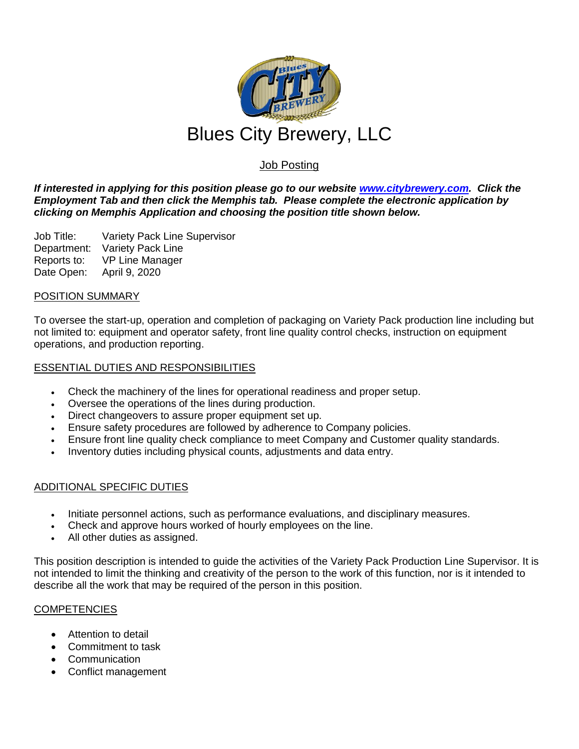

# Job Posting

*If interested in applying for this position please go to our website [www.citybrewery.com.](http://www.citybrewery.com/) Click the Employment Tab and then click the Memphis tab. Please complete the electronic application by clicking on Memphis Application and choosing the position title shown below.*

Job Title: Variety Pack Line Supervisor Department: Variety Pack Line Reports to: VP Line Manager Date Open: April 9, 2020

### POSITION SUMMARY

To oversee the start-up, operation and completion of packaging on Variety Pack production line including but not limited to: equipment and operator safety, front line quality control checks, instruction on equipment operations, and production reporting.

### ESSENTIAL DUTIES AND RESPONSIBILITIES

- Check the machinery of the lines for operational readiness and proper setup.
- Oversee the operations of the lines during production.
- Direct changeovers to assure proper equipment set up.
- Ensure safety procedures are followed by adherence to Company policies.
- Ensure front line quality check compliance to meet Company and Customer quality standards.
- Inventory duties including physical counts, adjustments and data entry.

## ADDITIONAL SPECIFIC DUTIES

- Initiate personnel actions, such as performance evaluations, and disciplinary measures.
- Check and approve hours worked of hourly employees on the line.
- All other duties as assigned.

This position description is intended to guide the activities of the Variety Pack Production Line Supervisor. It is not intended to limit the thinking and creativity of the person to the work of this function, nor is it intended to describe all the work that may be required of the person in this position.

#### **COMPETENCIES**

- Attention to detail
- Commitment to task
- Communication
- Conflict management